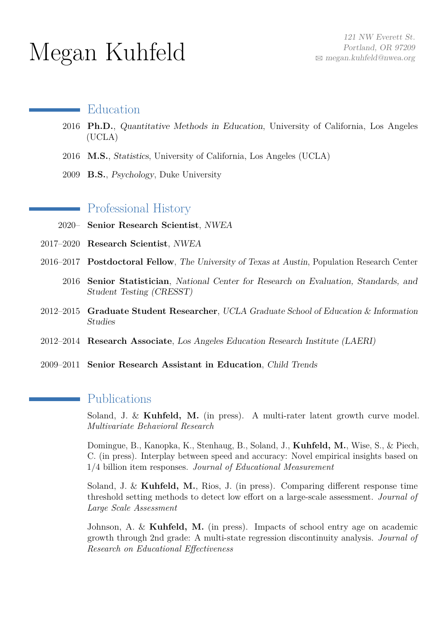# Megan Kuhfeld

#### Education

- 2016 **Ph.D.**, Quantitative Methods in Education, University of California, Los Angeles (UCLA)
- 2016 **M.S.**, Statistics, University of California, Los Angeles (UCLA)
- 2009 **B.S.**, Psychology, Duke University

### Professional History

- 2020– **Senior Research Scientist**, NWEA
- 2017–2020 **Research Scientist**, NWEA
- 2016–2017 **Postdoctoral Fellow**, The University of Texas at Austin, Population Research Center
	- 2016 **Senior Statistician**, National Center for Research on Evaluation, Standards, and Student Testing (CRESST)
- 2012–2015 **Graduate Student Researcher**, UCLA Graduate School of Education & Information Studies
- 2012–2014 **Research Associate**, Los Angeles Education Research Institute (LAERI)
- 2009–2011 **Senior Research Assistant in Education**, Child Trends

## Publications

Soland, J. & **Kuhfeld, M.** (in press). A multi-rater latent growth curve model. *Multivariate Behavioral Research*

Domingue, B., Kanopka, K., Stenhaug, B., Soland, J., **Kuhfeld, M.**, Wise, S., & Piech, C. (in press). Interplay between speed and accuracy: Novel empirical insights based on 1/4 billion item responses. *[Journal of Educational Measurement](https://psyarxiv.com/r54ec/)*

Soland, J. & **Kuhfeld, M.**, Rios, J. (in press). Comparing different response time threshold setting methods to detect low effort on a large-scale assessment. *Journal of Large Scale Assessment*

Johnson, A. & **Kuhfeld, M.** (in press). Impacts of school entry age on academic growth through 2nd grade: A multi-state regression discontinuity analysis. *[Journal of](https://www.edworkingpapers.com/ai20-203) [Research on Educational Effectiveness](https://www.edworkingpapers.com/ai20-203)*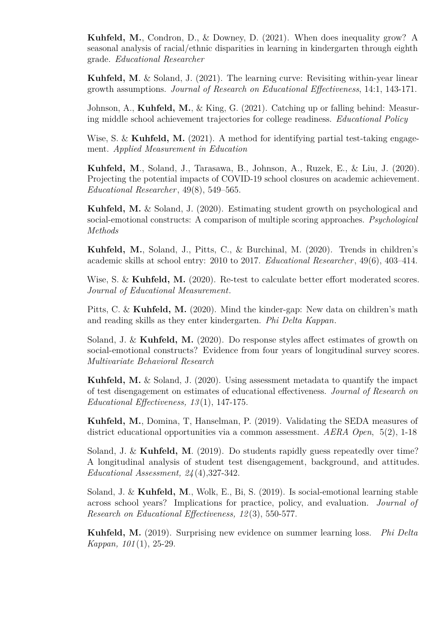**Kuhfeld, M.**, Condron, D., & Downey, D. (2021). When does inequality grow? A seasonal analysis of racial/ethnic disparities in learning in kindergarten through eighth grade. *[Educational Researcher](https://journals.sagepub.com/doi/abs/10.3102/0013189X20977854?journalCode=edra)*

**Kuhfeld, M**. & Soland, J. (2021). The learning curve: Revisiting within-year linear growth assumptions. *[Journal of Research on Educational Effectiveness](https://www.tandfonline.com/doi/full/10.1080/19345747.2020.1839990)*, 14:1, 143-171.

Johnson, A., **Kuhfeld, M.**, & King, G. (2021). Catching up or falling behind: Measuring middle school achievement trajectories for college readiness. *[Educational Policy](https://journals.sagepub.com/doi/10.1177/08959048211006833)*

Wise, S. & **Kuhfeld, M.** (2021). A method for identifying partial test-taking engagement. *[Applied Measurement in Education](https://www.tandfonline.com/doi/full/10.1080/08957347.2021.1890745)*

**Kuhfeld, M**., Soland, J., Tarasawa, B., Johnson, A., Ruzek, E., & Liu, J. (2020). Projecting the potential impacts of COVID-19 school closures on academic achievement. *[Educational Researcher](https://journals.sagepub.com/doi/10.3102/0013189X20965918)*, 49(8), 549–565.

**Kuhfeld, M.** & Soland, J. (2020). Estimating student growth on psychological and social-emotional constructs: A comparison of multiple scoring approaches. *[Psychological](https://psycnet.apa.org/record/2020-79442-001) [Methods](https://psycnet.apa.org/record/2020-79442-001)*

**Kuhfeld, M.**, Soland, J., Pitts, C., & Burchinal, M. (2020). Trends in children's academic skills at school entry: 2010 to 2017. *[Educational Researcher](https://journals.sagepub.com/doi/10.3102/0013189X20931078)*, 49(6), 403–414.

Wise, S. & **Kuhfeld, M.** (2020). Re-test to calculate better effort moderated scores. *[Journal of Educational Measurement](https://onlinelibrary.wiley.com/doi/abs/10.1111/jedm.12275)*.

Pitts, C. & **Kuhfeld, M.** (2020). Mind the kinder-gap: New data on children's math and reading skills as they enter kindergarten. *[Phi Delta Kappan](hhttps://kappanonline.org/data-children-math-reading-skills-kindergarten-learning-gap-pitts-kuhfeld/)*.

Soland, J. & **Kuhfeld, M.** (2020). Do response styles affect estimates of growth on social-emotional constructs? Evidence from four years of longitudinal survey scores. *[Multivariate Behavioral Research](https://www.tandfonline.com/doi/abs/10.1080/00273171.2020.1778440)*

**Kuhfeld, M.** & Soland, J. (2020). Using assessment metadata to quantify the impact of test disengagement on estimates of educational effectiveness. *[Journal of Research on](https://www.tandfonline.com/doi/abs/10.1080/19345747.2019.1636437) [Educational Effectiveness, 13](https://www.tandfonline.com/doi/abs/10.1080/19345747.2019.1636437)* (1), 147-175.

**Kuhfeld, M.**, Domina, T, Hanselman, P. (2019). Validating the SEDA measures of district educational opportunities via a common assessment. *AERA Open*, [5\(2\), 1-18](https://journals.sagepub.com/doi/10.1177/2332858419858324?icid=int.sj-abstract.similar-articles.3)

Soland, J. & **Kuhfeld, M**. (2019). Do students rapidly guess repeatedly over time? A longitudinal analysis of student test disengagement, background, and attitudes. *[Educational Assessment, 24](https://www.tandfonline.com/doi/full/10.1080/10627197.2019.1645592)* (4),327-342.

Soland, J. & **Kuhfeld, M**., Wolk, E., Bi, S. (2019). Is social-emotional learning stable across school years? Implications for practice, policy, and evaluation. *[Journal of](https://www.tandfonline.com/doi/abs/10.1080/19345747.2019.1615158) [Research on Educational Effectiveness, 12](https://www.tandfonline.com/doi/abs/10.1080/19345747.2019.1615158)* (3), 550-577.

**Kuhfeld, M.** (2019). Surprising new evidence on summer learning loss. *[Phi Delta](https://www.kappanonline.org/rethinking-summer-slide-the-more-you-gain-the-more-you-lose/) [Kappan, 101](https://www.kappanonline.org/rethinking-summer-slide-the-more-you-gain-the-more-you-lose/)* (1), 25-29.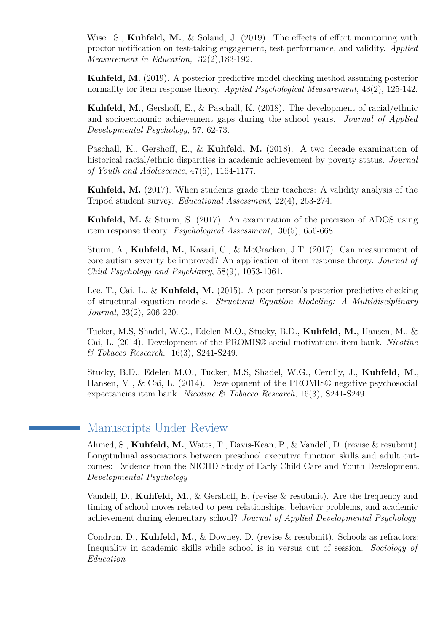Wise. S., **Kuhfeld, M.**, & Soland, J. (2019). The effects of effort monitoring with proctor notification on test-taking engagement, test performance, and validity. *Applied Measurement in Education,* [32\(2\),183-192.](https://www.tandfonline.com/doi/abs/10.1080/08957347.2019.1577248)

**Kuhfeld, M.** (2019). A posterior predictive model checking method assuming posterior normality for item response theory. *Applied Psychological Measurement*, [43\(2\), 125-142.](http://journals.sagepub.com/doi/abs/10.1177/0146621618779985?journalCode=apma)

**Kuhfeld, M.**, Gershoff, E., & Paschall, K. (2018). The development of racial/ethnic and socioeconomic achievement gaps during the school years. *Journal of Applied Developmental Psychology*, [57, 62-73.](https://doi.org/10.1016/j.appdev.2018.07.001)

Paschall, K., Gershoff, E., & **Kuhfeld, M.** (2018). A two decade examination of historical racial/ethnic disparities in academic achievement by poverty status. *Journal of Youth and Adolescence*, [47\(6\), 1164-1177.](https://link.springer.com/article/10.1007/s10964-017-0800-7)

**Kuhfeld, M.** (2017). When students grade their teachers: A validity analysis of the Tripod student survey. *Educational Assessment*, [22\(4\), 253-274.](http://www.tandfonline.com/doi/abs/10.1080/10627197.2017.1381555)

**Kuhfeld, M.** & Sturm, S. (2017). An examination of the precision of ADOS using item response theory. *Psychological Assessment*, [30\(5\), 656-668.](https://www.ncbi.nlm.nih.gov/pubmed/28782981)

Sturm, A., **Kuhfeld, M.**, Kasari, C., & McCracken, J.T. (2017). Can measurement of core autism severity be improved? An application of item response theory. *Journal of Child Psychology and Psychiatry*, [58\(9\), 1053-1061.](http://onlinelibrary.wiley.com/doi/10.1111/jcpp.12731/abstract)

Lee, T., Cai, L., & **Kuhfeld, M.** (2015). A poor person's posterior predictive checking of structural equation models. *Structural Equation Modeling: A Multidisciplinary Journal*, [23\(2\), 206-220.](http://dx.doi.org/10.1080/10705511.2015.1014041)

Tucker, M.S, Shadel, W.G., Edelen M.O., Stucky, B.D., **Kuhfeld, M.**, Hansen, M., & Cai, L. (2014). Development of the PROMIS® social motivations item bank. *Nicotine & Tobacco Research*, [16\(3\), S241-S249.](http://ntr.oxfordjournals.org/content/16/Suppl_3/S241.short)

Stucky, B.D., Edelen M.O., Tucker, M.S, Shadel, W.G., Cerully, J., **Kuhfeld, M.**, Hansen, M., & Cai, L. (2014). Development of the PROMIS® negative psychosocial expectancies item bank. *Nicotine & Tobacco Research*, [16\(3\), S241-S249.](http://ntr.oxfordjournals.org/content/16/Suppl_3/S232.full)

# Manuscripts Under Review

Ahmed, S., **Kuhfeld, M.**, Watts, T., Davis-Kean, P., & Vandell, D. (revise & resubmit). Longitudinal associations between preschool executive function skills and adult outcomes: Evidence from the NICHD Study of Early Child Care and Youth Development. *Developmental Psychology*

Vandell, D., **Kuhfeld, M.**, & Gershoff, E. (revise & resubmit). Are the frequency and timing of school moves related to peer relationships, behavior problems, and academic achievement during elementary school? *Journal of Applied Developmental Psychology*

Condron, D., **Kuhfeld, M.**, & Downey, D. (revise & resubmit). Schools as refractors: Inequality in academic skills while school is in versus out of session. *Sociology of Education*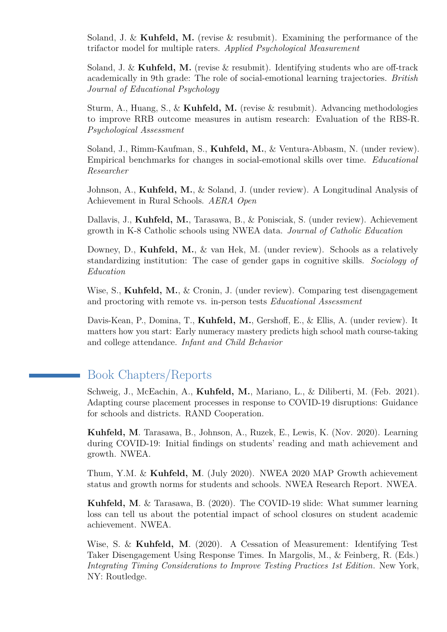Soland, J. & **Kuhfeld, M.** (revise & resubmit). Examining the performance of the trifactor model for multiple raters. *Applied Psychological Measurement*

Soland, J. & **Kuhfeld, M.** (revise & resubmit). Identifying students who are off-track academically in 9th grade: The role of social-emotional learning trajectories. *[British](https://www.nwea.org/resource-library/nwea-collaborative-for-student-growth-2/identifying-students-who-are-off-track-academically-in-ninth-grade-the-role-of-social-emotional-learning-trajectories-4) [Journal of Educational Psychology](https://www.nwea.org/resource-library/nwea-collaborative-for-student-growth-2/identifying-students-who-are-off-track-academically-in-ninth-grade-the-role-of-social-emotional-learning-trajectories-4)*

Sturm, A., Huang, S., & **Kuhfeld, M.** (revise & resubmit). Advancing methodologies to improve RRB outcome measures in autism research: Evaluation of the RBS-R. *Psychological Assessment*

Soland, J., Rimm-Kaufman, S., **Kuhfeld, M.**, & Ventura-Abbasm, N. (under review). Empirical benchmarks for changes in social-emotional skills over time. *Educational Researcher*

Johnson, A., **Kuhfeld, M.**, & Soland, J. (under review). A Longitudinal Analysis of Achievement in Rural Schools. *[AERA Open](https://www.edworkingpapers.com/ai20-203)*

Dallavis, J., **Kuhfeld, M.**, Tarasawa, B., & Ponisciak, S. (under review). Achievement growth in K-8 Catholic schools using NWEA data. *Journal of Catholic Education*

Downey, D., **Kuhfeld, M.**, & van Hek, M. (under review). Schools as a relatively standardizing institution: The case of gender gaps in cognitive skills. *Sociology of Education*

Wise, S., **Kuhfeld, M.**, & Cronin, J. (under review). Comparing test disengagement and proctoring with remote vs. in-person tests *Educational Assessment*

Davis-Kean, P., Domina, T., **Kuhfeld, M.**, Gershoff, E., & Ellis, A. (under review). It matters how you start: Early numeracy mastery predicts high school math course-taking and college attendance. *[Infant and Child Behavior](https://psyarxiv.com/wdvth)*

# Book Chapters/Reports

Schweig, J., McEachin, A., **Kuhfeld, M.**, Mariano, L., & Diliberti, M. (Feb. 2021). [Adapting course placement processes in response to COVID-19 disruptions: Guidance](https://www.rand.org/pubs/research_reports/RRA1037-1.html) [for schools and districts.](https://www.rand.org/pubs/research_reports/RRA1037-1.html) RAND Cooperation.

**Kuhfeld, M**. Tarasawa, B., Johnson, A., Ruzek, E., Lewis, K. (Nov. 2020). [Learning](https://www.nwea.org/content/uploads/2020/11/Collaborative-brief-Learning-during-COVID-19.NOV2020.pdf) [during COVID-19: Initial findings on students' reading and math achievement and](https://www.nwea.org/content/uploads/2020/11/Collaborative-brief-Learning-during-COVID-19.NOV2020.pdf) [growth.](https://www.nwea.org/content/uploads/2020/11/Collaborative-brief-Learning-during-COVID-19.NOV2020.pdf) NWEA.

Thum, Y.M. & **Kuhfeld, M**. (July 2020). [NWEA 2020 MAP Growth achievement](https://teach.mapnwea.org/impl/normsResearchStudy.pdf) [status and growth norms for students and schools.](https://teach.mapnwea.org/impl/normsResearchStudy.pdf) NWEA Research Report. NWEA.

**Kuhfeld, M**. & Tarasawa, B. (2020). [The COVID-19 slide: What summer learning](https://www.nwea.org/content/uploads/2020/04/Collaborative-Brief_Covid19-Slide-APR20.pdf) [loss can tell us about the potential impact of school closures on student academic](https://www.nwea.org/content/uploads/2020/04/Collaborative-Brief_Covid19-Slide-APR20.pdf) [achievement.](https://www.nwea.org/content/uploads/2020/04/Collaborative-Brief_Covid19-Slide-APR20.pdf) NWEA.

Wise, S. & **Kuhfeld, M**. (2020). A Cessation of Measurement: Identifying Test Taker Disengagement Using Response Times. In Margolis, M., & Feinberg, R. (Eds.) *[Integrating Timing Considerations to Improve Testing Practices 1st Edition](https://www.nwea.org/resource-library/nwea-collaborative-for-student-growth-2/what-happens-when-test-takers-disengage-understanding-and-addressing-rapid-guessing-3)*. New York, NY: Routledge.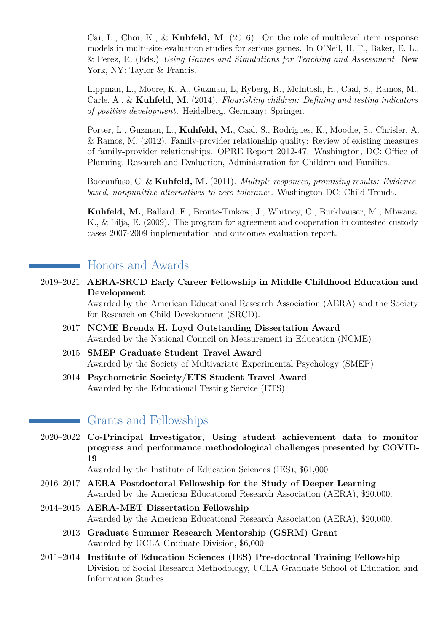Cai, L., Choi, K., & **Kuhfeld, M**. (2016). On the role of multilevel item response models in multi-site evaluation studies for serious games. In O'Neil, H. F., Baker, E. L., & Perez, R. (Eds.) *[Using Games and Simulations for Teaching and Assessment](https://www.routledge.com/products/9780415737883)*. New York, NY: Taylor & Francis.

Lippman, L., Moore, K. A., Guzman, L, Ryberg, R., McIntosh, H., Caal, S., Ramos, M., Carle, A., & **Kuhfeld, M.** (2014). *[Flourishing children: Defining and testing indicators](http://www.springer.com/us/book/9789401786065) [of positive development](http://www.springer.com/us/book/9789401786065)*. Heidelberg, Germany: Springer.

Porter, L., Guzman, L., **Kuhfeld, M.**, Caal, S., Rodrigues, K., Moodie, S., Chrisler, A. & Ramos, M. (2012). [Family-provider relationship quality: Review of existing measures](http://www.acf.hhs.gov/sites/default/files/opre/fprq_measures_review_final_updated_aug2014_0.pdf) [of family-provider relationships. OPRE Report 2012-47.](http://www.acf.hhs.gov/sites/default/files/opre/fprq_measures_review_final_updated_aug2014_0.pdf) Washington, DC: Office of Planning, Research and Evaluation, Administration for Children and Families.

Boccanfuso, C. & **Kuhfeld, M.** (2011). *[Multiple responses, promising results: Evidence](http://www.nea.org/assets/docs/alternatives-to-zero-tolerance.pdf)[based, nonpunitive alternatives to zero tolerance](http://www.nea.org/assets/docs/alternatives-to-zero-tolerance.pdf)*. Washington DC: Child Trends.

**Kuhfeld, M.**, Ballard, F., Bronte-Tinkew, J., Whitney, C., Burkhauser, M., Mbwana, K., & Lilja, E. (2009). [The program for agreement and cooperation in contested custody](http://www.apapracticecentral.org/update/2009/11-23/pac-summary.pdf) [cases 2007-2009 implementation and outcomes evaluation report.](http://www.apapracticecentral.org/update/2009/11-23/pac-summary.pdf)

# Honors and Awards

2019–2021 **AERA-SRCD Early Career Fellowship in Middle Childhood Education and Development**

> Awarded by the American Educational Research Association (AERA) and the Society for Research on Child Development (SRCD).

- 2017 **NCME Brenda H. Loyd Outstanding Dissertation Award** Awarded by the National Council on Measurement in Education (NCME)
- 2015 **SMEP Graduate Student Travel Award** Awarded by the Society of Multivariate Experimental Psychology (SMEP)
- 2014 **Psychometric Society/ETS Student Travel Award** Awarded by the Educational Testing Service (ETS)

## Grants and Fellowships

2020–2022 **Co-Principal Investigator, Using student achievement data to monitor progress and performance methodological challenges presented by COVID-19**

Awarded by the Institute of Education Sciences (IES), \$61,000

- 2016–2017 **AERA Postdoctoral Fellowship for the Study of Deeper Learning** Awarded by the American Educational Research Association (AERA), \$20,000.
- 2014–2015 **AERA-MET Dissertation Fellowship** Awarded by the American Educational Research Association (AERA), \$20,000.
	- 2013 **Graduate Summer Research Mentorship (GSRM) Grant** Awarded by UCLA Graduate Division, \$6,000
- 2011–2014 **Institute of Education Sciences (IES) Pre-doctoral Training Fellowship** Division of Social Research Methodology, UCLA Graduate School of Education and Information Studies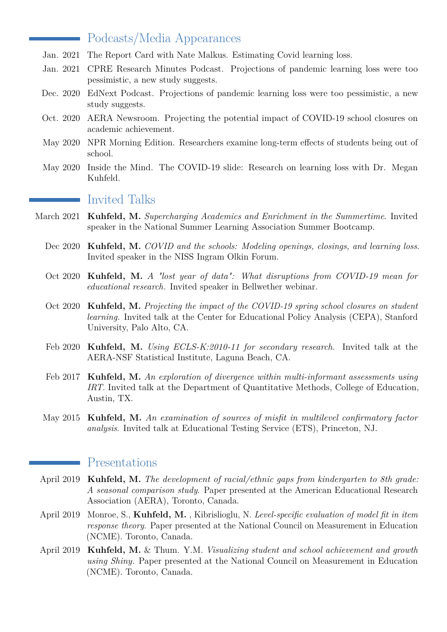## Podcasts/Media Appearances

- Jan. 2021 The Report Card with Nate Malkus. [Estimating Covid learning loss.](https://www.aei.org/multimedia/estimating-covid-learning-loss/)
- Jan. 2021 CPRE Research Minutes Podcast. [Projections of pandemic learning loss were too](https://www.researchminutes.org/episode/how-are-students-performing-in-the-wake-of-covid-19/) [pessimistic, a new study suggests.](https://www.researchminutes.org/episode/how-are-students-performing-in-the-wake-of-covid-19/)
- Dec. 2020 EdNext Podcast. [Projections of pandemic learning loss were too pessimistic, a new](https://www.educationnext.org/ednext-podcast-projections-of-pandemic-learning-loss-were-too-pessimistic-a-new-study-suggests/) [study suggests.](https://www.educationnext.org/ednext-podcast-projections-of-pandemic-learning-loss-were-too-pessimistic-a-new-study-suggests/)
- Oct. 2020 AERA Newsroom. [Projecting the potential impact of COVID-19 school closures on](https://www.aera.net/Newsroom/Research-Video-News-Brief-Projecting-the-Potential-Impact-of-COVID-19-School-Closures-on-Academic-Achievement ) [academic achievement.](https://www.aera.net/Newsroom/Research-Video-News-Brief-Projecting-the-Potential-Impact-of-COVID-19-School-Closures-on-Academic-Achievement )
- May 2020 NPR Morning Edition. [Researchers examine long-term effects of students being out of](https://www.npr.org/2020/05/15/856594247/researchers-examine-long-term-effects-of-students-being-out-of-school) [school.](https://www.npr.org/2020/05/15/856594247/researchers-examine-long-term-effects-of-students-being-out-of-school)
- May 2020 Inside the Mind. [The COVID-19 slide: Research on learning loss with Dr. Megan](https://blog.mindresearch.org/blog/covid-19-slide-research) [Kuhfeld.](https://blog.mindresearch.org/blog/covid-19-slide-research)

### Invited Talks

- March 2021 **Kuhfeld, M.** *[Supercharging Academics and Enrichment in the Summertime](https://www.summerlearning.org/2021-summer-bootcamp-series-schedule/)*. Invited speaker in the National Summer Learning Association Summer Bootcamp.
	- Dec 2020 **Kuhfeld, M.** *[COVID and the schools: Modeling openings, closings, and learning loss](https://www.niss.org/events/niss-ingram-olkin-forum-covid-and-schools-modeling-openings-closings-and-learning-loss)*. Invited speaker in the NISS Ingram Olkin Forum.
	- Oct 2020 **Kuhfeld, M.** *[A "lost year of data": What disruptions from COVID-19 mean for](https://www.youtube.com/watch?v=NVObeXZhxCw) [educational research](https://www.youtube.com/watch?v=NVObeXZhxCw)*. Invited speaker in Bellwether webinar.
	- Oct 2020 **Kuhfeld, M.** *[Projecting the impact of the COVID-19 spring school closures on student](https://cepa.stanford.edu/events/megan-kuhfeld) [learning](https://cepa.stanford.edu/events/megan-kuhfeld)*. Invited talk at the Center for Educational Policy Analysis (CEPA), Stanford University, Palo Alto, CA.
	- Feb 2020 **Kuhfeld, M.** *Using ECLS-K:2010-11 for secondary research*. Invited talk at the AERA-NSF Statistical Institute, Laguna Beach, CA.
	- Feb 2017 **Kuhfeld, M.** *An exploration of divergence within multi-informant assessments using IRT*. Invited talk at the Department of Quantitative Methods, College of Education, Austin, TX.
	- May 2015 **Kuhfeld, M.** *An examination of sources of misfit in multilevel confirmatory factor analysis*. Invited talk at Educational Testing Service (ETS), Princeton, NJ.

#### Presentations

 $\sim 10^{10}$ 

- April 2019 **Kuhfeld, M.** *The development of racial/ethnic gaps from kindergarten to 8th grade: A seasonal comparison study*. Paper presented at the American Educational Research Association (AERA), Toronto, Canada.
- April 2019 Monroe, S., **Kuhfeld, M.** , Kibrislioglu, N. *Level-specific evaluation of model fit in item response theory*. Paper presented at the National Council on Measurement in Education (NCME). Toronto, Canada.
- April 2019 **Kuhfeld, M.** & Thum. Y.M. *Visualizing student and school achievement and growth using Shiny.* Paper presented at the National Council on Measurement in Education (NCME). Toronto, Canada.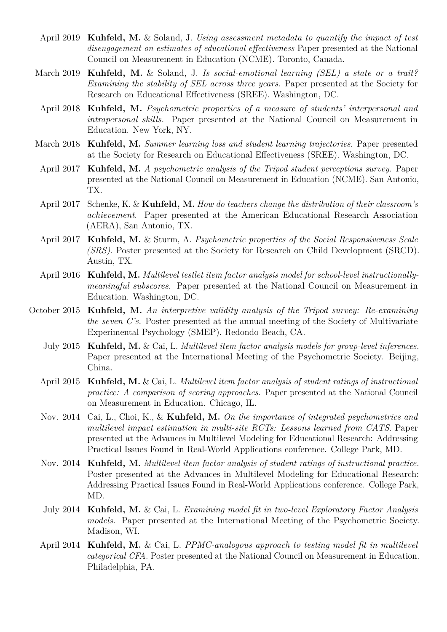- April 2019 **Kuhfeld, M.** & Soland, J. *Using assessment metadata to quantify the impact of test disengagement on estimates of educational effectiveness* Paper presented at the National Council on Measurement in Education (NCME). Toronto, Canada.
- March 2019 **Kuhfeld, M.** & Soland, J. *Is social-emotional learning (SEL) a state or a trait? Examining the stability of SEL across three years.* Paper presented at the Society for Research on Educational Effectiveness (SREE). Washington, DC.
- April 2018 **Kuhfeld, M.** *Psychometric properties of a measure of students' interpersonal and intrapersonal skills.* Paper presented at the National Council on Measurement in Education. New York, NY.
- March 2018 **Kuhfeld, M.** *Summer learning loss and student learning trajectories.* Paper presented at the Society for Research on Educational Effectiveness (SREE). Washington, DC.
- April 2017 **Kuhfeld, M.** *A psychometric analysis of the Tripod student perceptions survey.* Paper presented at the National Council on Measurement in Education (NCME). San Antonio, TX.
- April 2017 Schenke, K. & **Kuhfeld, M.** *How do teachers change the distribution of their classroom's achievement*. Paper presented at the American Educational Research Association (AERA), San Antonio, TX.
- April 2017 **Kuhfeld, M.** & Sturm, A. *Psychometric properties of the Social Responsiveness Scale (SRS).* Poster presented at the Society for Research on Child Development (SRCD). Austin, TX.
- April 2016 **Kuhfeld, M.** *Multilevel testlet item factor analysis model for school-level instructionallymeaningful subscores.* Paper presented at the National Council on Measurement in Education. Washington, DC.
- October 2015 **Kuhfeld, M.** *An interpretive validity analysis of the Tripod survey: Re-examining the seven C's.* Poster presented at the annual meeting of the Society of Multivariate Experimental Psychology (SMEP). Redondo Beach, CA.
	- July 2015 **Kuhfeld, M.** & Cai, L. *Multilevel item factor analysis models for group-level inferences.* Paper presented at the International Meeting of the Psychometric Society. Beijing, China.
	- April 2015 **Kuhfeld, M.** & Cai, L. *Multilevel item factor analysis of student ratings of instructional practice: A comparison of scoring approaches.* Paper presented at the National Council on Measurement in Education. Chicago, IL.
	- Nov. 2014 Cai, L., Choi, K., & **Kuhfeld, M.** *On the importance of integrated psychometrics and multilevel impact estimation in multi-site RCTs: Lessons learned from CATS.* Paper presented at the Advances in Multilevel Modeling for Educational Research: Addressing Practical Issues Found in Real-World Applications conference. College Park, MD.
	- Nov. 2014 **Kuhfeld, M.** *Multilevel item factor analysis of student ratings of instructional practice.* Poster presented at the Advances in Multilevel Modeling for Educational Research: Addressing Practical Issues Found in Real-World Applications conference. College Park, MD.
	- July 2014 **Kuhfeld, M.** & Cai, L. *Examining model fit in two-level Exploratory Factor Analysis models.* Paper presented at the International Meeting of the Psychometric Society. Madison, WI.
	- April 2014 **Kuhfeld, M.** & Cai, L. *PPMC-analogous approach to testing model fit in multilevel categorical CFA.* Poster presented at the National Council on Measurement in Education. Philadelphia, PA.